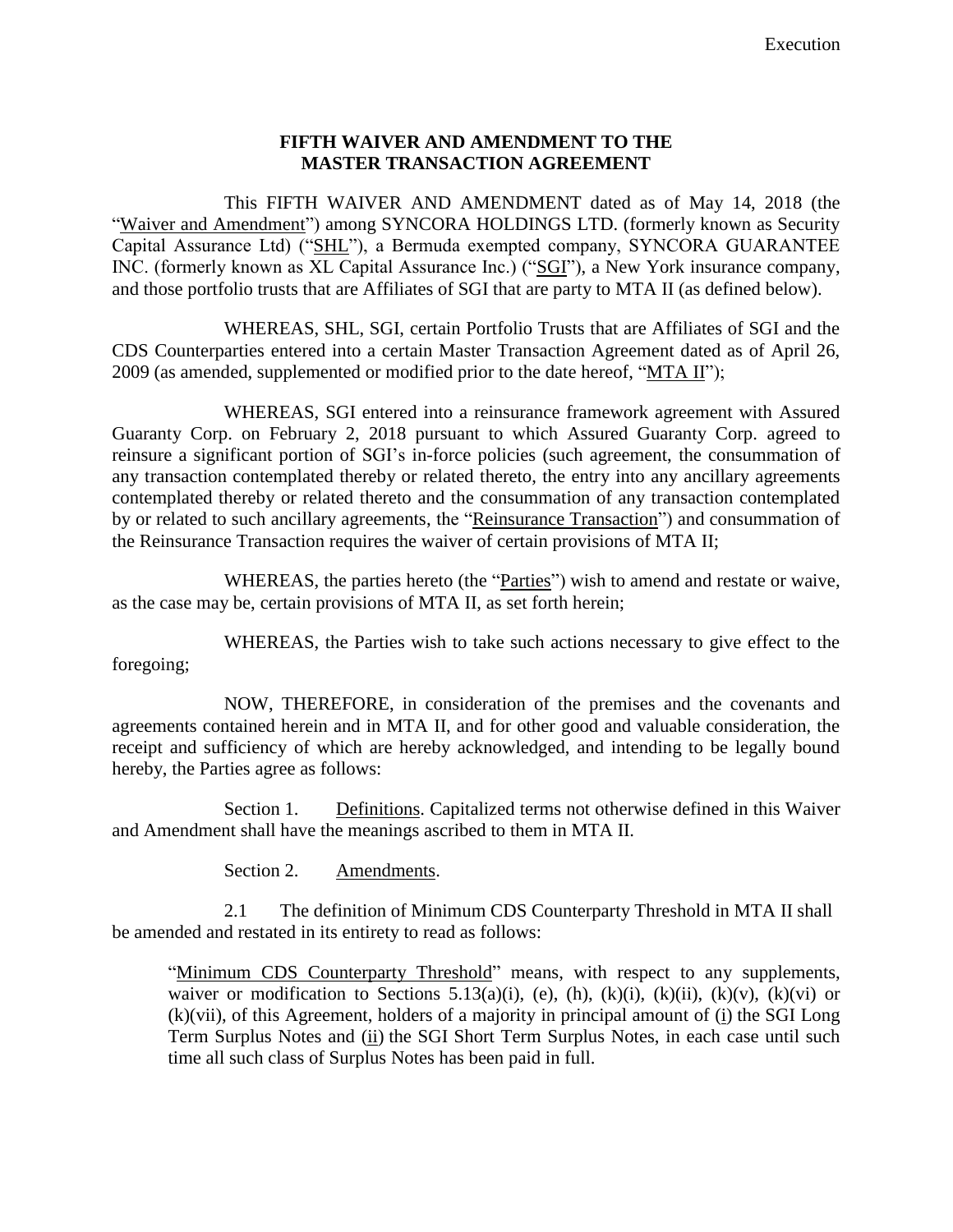## **FIFTH WAIVER AND AMENDMENT TO THE MASTER TRANSACTION AGREEMENT**

This FIFTH WAIVER AND AMENDMENT dated as of May 14, 2018 (the "Waiver and Amendment") among SYNCORA HOLDINGS LTD. (formerly known as Security Capital Assurance Ltd) ("SHL"), a Bermuda exempted company, SYNCORA GUARANTEE INC. (formerly known as XL Capital Assurance Inc.) ("SGI"), a New York insurance company, and those portfolio trusts that are Affiliates of SGI that are party to MTA II (as defined below).

WHEREAS, SHL, SGI, certain Portfolio Trusts that are Affiliates of SGI and the CDS Counterparties entered into a certain Master Transaction Agreement dated as of April 26, 2009 (as amended, supplemented or modified prior to the date hereof, "MTA II");

WHEREAS, SGI entered into a reinsurance framework agreement with Assured Guaranty Corp. on February 2, 2018 pursuant to which Assured Guaranty Corp. agreed to reinsure a significant portion of SGI's in-force policies (such agreement, the consummation of any transaction contemplated thereby or related thereto, the entry into any ancillary agreements contemplated thereby or related thereto and the consummation of any transaction contemplated by or related to such ancillary agreements, the "Reinsurance Transaction") and consummation of the Reinsurance Transaction requires the waiver of certain provisions of MTA II;

WHEREAS, the parties hereto (the "Parties") wish to amend and restate or waive, as the case may be, certain provisions of MTA II, as set forth herein;

WHEREAS, the Parties wish to take such actions necessary to give effect to the foregoing;

NOW, THEREFORE, in consideration of the premises and the covenants and agreements contained herein and in MTA II, and for other good and valuable consideration, the receipt and sufficiency of which are hereby acknowledged, and intending to be legally bound hereby, the Parties agree as follows:

Section 1. Definitions. Capitalized terms not otherwise defined in this Waiver and Amendment shall have the meanings ascribed to them in MTA II.

Section 2. Amendments.

2.1 The definition of Minimum CDS Counterparty Threshold in MTA II shall be amended and restated in its entirety to read as follows:

"Minimum CDS Counterparty Threshold" means, with respect to any supplements, waiver or modification to Sections 5.13(a)(i), (e), (h), (k)(i), (k)(ii), (k)(v), (k)(vi) or (k)(vii), of this Agreement, holders of a majority in principal amount of (i) the SGI Long Term Surplus Notes and (ii) the SGI Short Term Surplus Notes, in each case until such time all such class of Surplus Notes has been paid in full.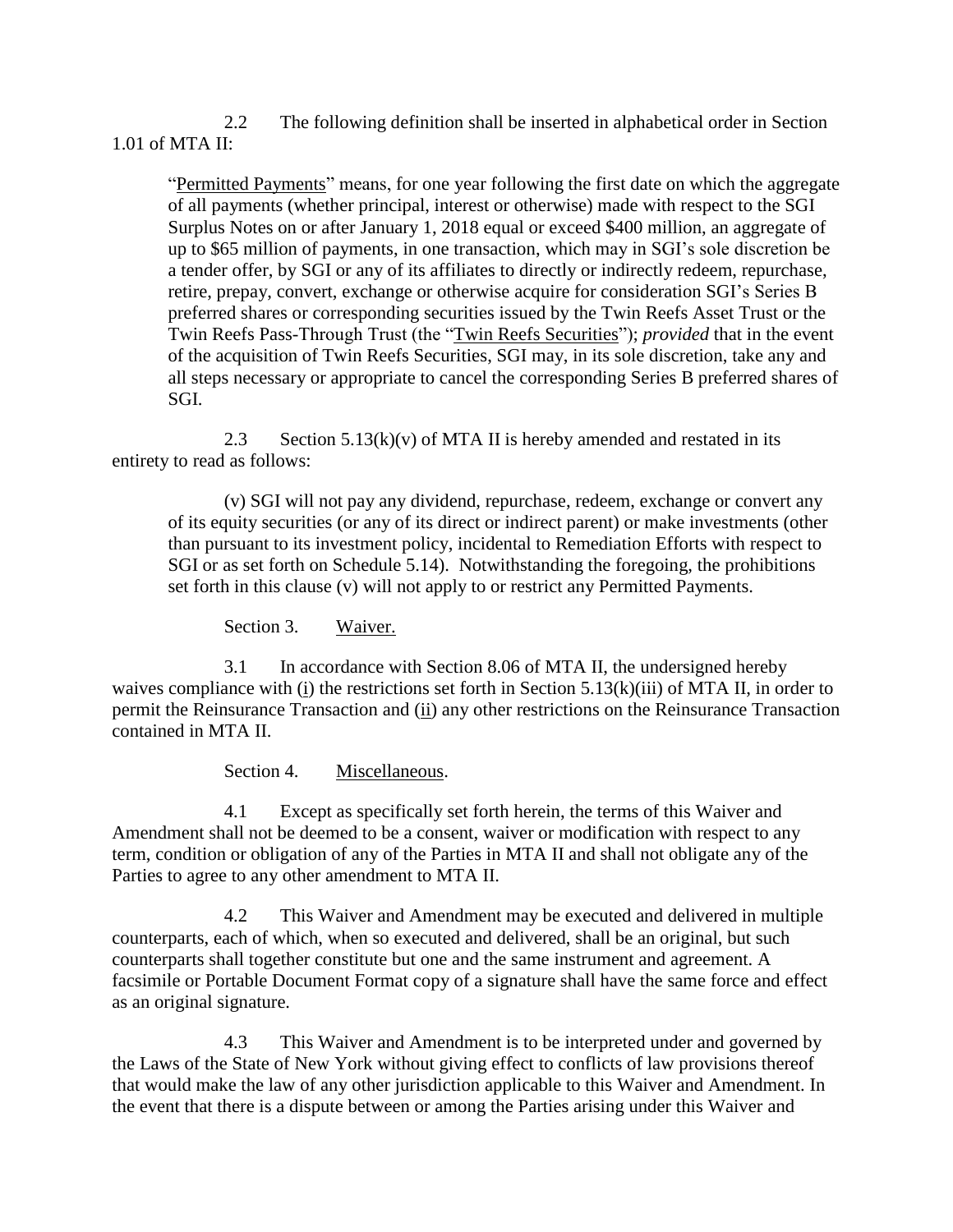2.2 The following definition shall be inserted in alphabetical order in Section 1.01 of MTA II:

"Permitted Payments" means, for one year following the first date on which the aggregate of all payments (whether principal, interest or otherwise) made with respect to the SGI Surplus Notes on or after January 1, 2018 equal or exceed \$400 million, an aggregate of up to \$65 million of payments, in one transaction, which may in SGI's sole discretion be a tender offer, by SGI or any of its affiliates to directly or indirectly redeem, repurchase, retire, prepay, convert, exchange or otherwise acquire for consideration SGI's Series B preferred shares or corresponding securities issued by the Twin Reefs Asset Trust or the Twin Reefs Pass-Through Trust (the "Twin Reefs Securities"); *provided* that in the event of the acquisition of Twin Reefs Securities, SGI may, in its sole discretion, take any and all steps necessary or appropriate to cancel the corresponding Series B preferred shares of SGI.

2.3 Section  $5.13(k)(v)$  of MTA II is hereby amended and restated in its entirety to read as follows:

(v) SGI will not pay any dividend, repurchase, redeem, exchange or convert any of its equity securities (or any of its direct or indirect parent) or make investments (other than pursuant to its investment policy, incidental to Remediation Efforts with respect to SGI or as set forth on Schedule 5.14). Notwithstanding the foregoing, the prohibitions set forth in this clause (v) will not apply to or restrict any Permitted Payments.

Section 3. Waiver.

3.1 In accordance with Section 8.06 of MTA II, the undersigned hereby waives compliance with (i) the restrictions set forth in Section 5.13(k)(iii) of MTA II, in order to permit the Reinsurance Transaction and (ii) any other restrictions on the Reinsurance Transaction contained in MTA II.

Section 4. Miscellaneous.

4.1 Except as specifically set forth herein, the terms of this Waiver and Amendment shall not be deemed to be a consent, waiver or modification with respect to any term, condition or obligation of any of the Parties in MTA II and shall not obligate any of the Parties to agree to any other amendment to MTA II.

4.2 This Waiver and Amendment may be executed and delivered in multiple counterparts, each of which, when so executed and delivered, shall be an original, but such counterparts shall together constitute but one and the same instrument and agreement. A facsimile or Portable Document Format copy of a signature shall have the same force and effect as an original signature.

4.3 This Waiver and Amendment is to be interpreted under and governed by the Laws of the State of New York without giving effect to conflicts of law provisions thereof that would make the law of any other jurisdiction applicable to this Waiver and Amendment. In the event that there is a dispute between or among the Parties arising under this Waiver and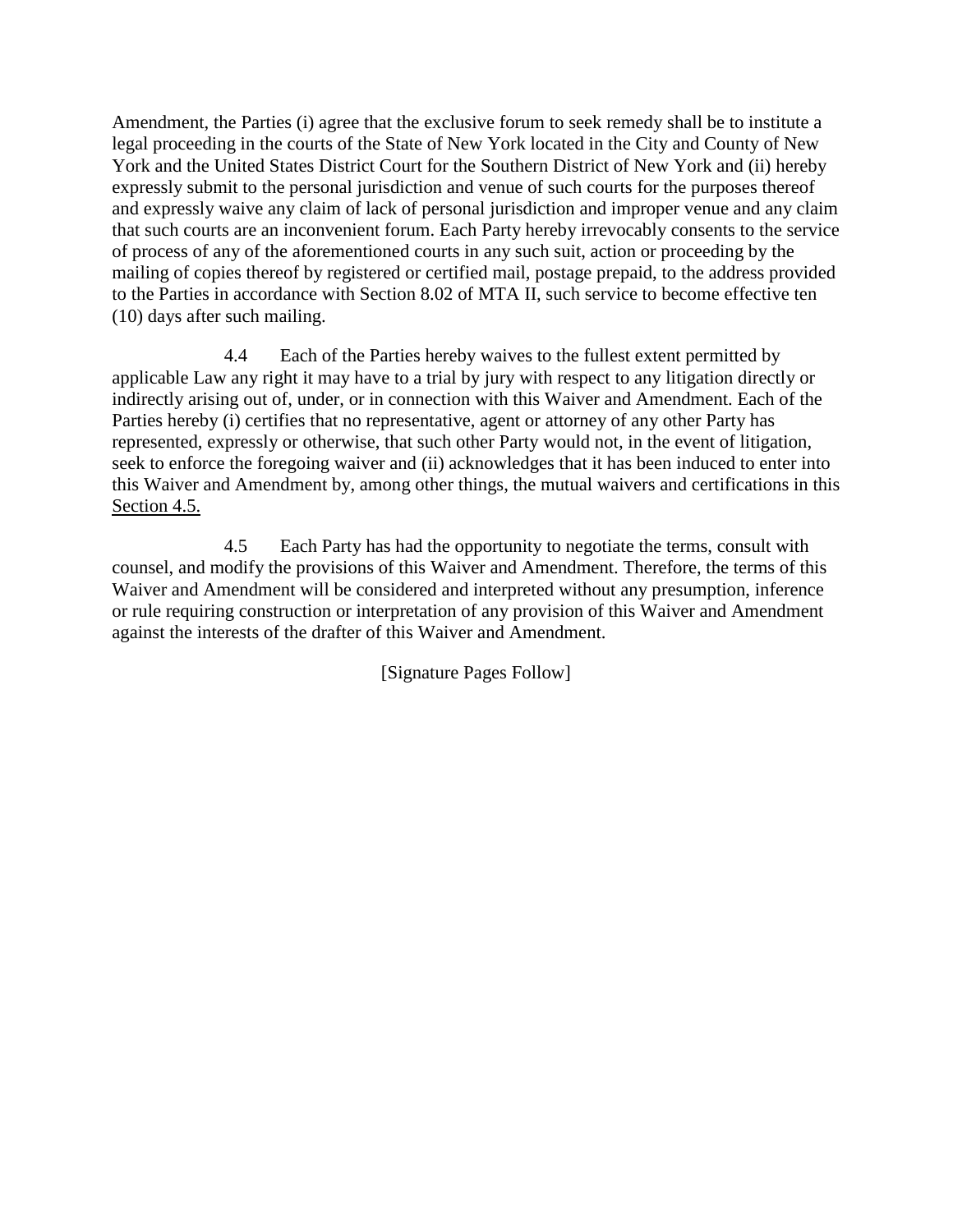Amendment, the Parties (i) agree that the exclusive forum to seek remedy shall be to institute a legal proceeding in the courts of the State of New York located in the City and County of New York and the United States District Court for the Southern District of New York and (ii) hereby expressly submit to the personal jurisdiction and venue of such courts for the purposes thereof and expressly waive any claim of lack of personal jurisdiction and improper venue and any claim that such courts are an inconvenient forum. Each Party hereby irrevocably consents to the service of process of any of the aforementioned courts in any such suit, action or proceeding by the mailing of copies thereof by registered or certified mail, postage prepaid, to the address provided to the Parties in accordance with Section 8.02 of MTA II, such service to become effective ten (10) days after such mailing.

4.4 Each of the Parties hereby waives to the fullest extent permitted by applicable Law any right it may have to a trial by jury with respect to any litigation directly or indirectly arising out of, under, or in connection with this Waiver and Amendment. Each of the Parties hereby (i) certifies that no representative, agent or attorney of any other Party has represented, expressly or otherwise, that such other Party would not, in the event of litigation, seek to enforce the foregoing waiver and (ii) acknowledges that it has been induced to enter into this Waiver and Amendment by, among other things, the mutual waivers and certifications in this Section 4.5.

4.5 Each Party has had the opportunity to negotiate the terms, consult with counsel, and modify the provisions of this Waiver and Amendment. Therefore, the terms of this Waiver and Amendment will be considered and interpreted without any presumption, inference or rule requiring construction or interpretation of any provision of this Waiver and Amendment against the interests of the drafter of this Waiver and Amendment.

[Signature Pages Follow]